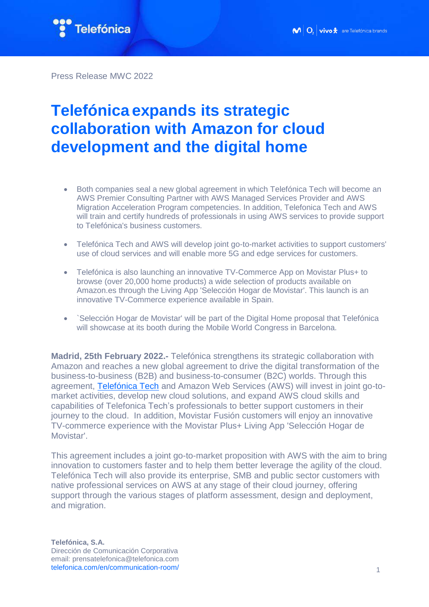

Press Release MWC 2022

## **Telefónica expands its strategic collaboration with Amazon for cloud development and the digital home**

- Both companies seal a new global agreement in which Telefónica Tech will become an AWS Premier Consulting Partner with AWS Managed Services Provider and AWS Migration Acceleration Program competencies. In addition, Telefonica Tech and AWS will train and certify hundreds of professionals in using AWS services to provide support to Telefónica's business customers.
- Telefónica Tech and AWS will develop joint go-to-market activities to support customers' use of cloud services and will enable more 5G and edge services for customers.
- Telefónica is also launching an innovative TV-Commerce App on Movistar Plus+ to browse (over 20,000 home products) a wide selection of products available on Amazon.es through the Living App 'Selección Hogar de Movistar'. This launch is an innovative TV-Commerce experience available in Spain.
- `Selección Hogar de Movistar' will be part of the Digital Home proposal that Telefónica will showcase at its booth during the Mobile World Congress in Barcelona.

**Madrid, 25th February 2022.-** Telefónica strengthens its strategic collaboration with Amazon and reaches a new global agreement to drive the digital transformation of the business-to-business (B2B) and business-to-consumer (B2C) worlds. Through this agreement, [Telefónica Tech](https://telefonicatech.com/) and Amazon Web Services (AWS) will invest in joint go-tomarket activities, develop new cloud solutions, and expand AWS cloud skills and capabilities of Telefonica Tech's professionals to better support customers in their journey to the cloud. In addition, Movistar Fusión customers will enjoy an innovative TV-commerce experience with the Movistar Plus+ Living App 'Selección Hogar de Movistar'.

This agreement includes a joint go-to-market proposition with AWS with the aim to bring innovation to customers faster and to help them better leverage the agility of the cloud. Telefónica Tech will also provide its enterprise, SMB and public sector customers with native professional services on AWS at any stage of their cloud journey, offering support through the various stages of platform assessment, design and deployment, and migration.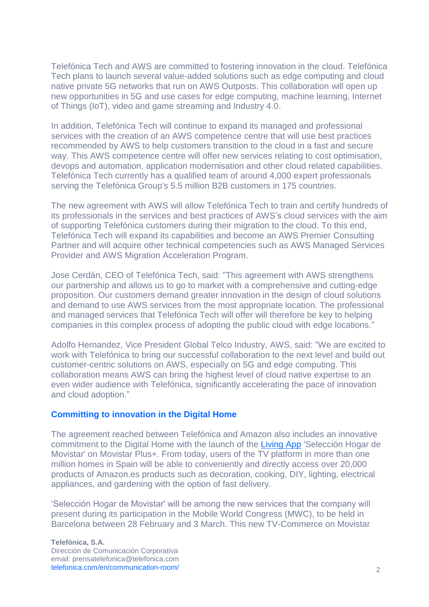Telefónica Tech and AWS are committed to fostering innovation in the cloud. Telefónica Tech plans to launch several value-added solutions such as edge computing and cloud native private 5G networks that run on AWS Outposts. This collaboration will open up new opportunities in 5G and use cases for edge computing, machine learning, Internet of Things (IoT), video and game streaming and Industry 4.0.

In addition, Telefónica Tech will continue to expand its managed and professional services with the creation of an AWS competence centre that will use best practices recommended by AWS to help customers transition to the cloud in a fast and secure way. This AWS competence centre will offer new services relating to cost optimisation, devops and automation, application modernisation and other cloud related capabilities. Telefónica Tech currently has a qualified team of around 4,000 expert professionals serving the Telefónica Group's 5.5 million B2B customers in 175 countries.

The new agreement with AWS will allow Telefónica Tech to train and certify hundreds of its professionals in the services and best practices of AWS's cloud services with the aim of supporting Telefónica customers during their migration to the cloud. To this end, Telefónica Tech will expand its capabilities and become an AWS Premier Consulting Partner and will acquire other technical competencies such as AWS Managed Services Provider and AWS Migration Acceleration Program.

Jose Cerdán, CEO of Telefónica Tech, said: "This agreement with AWS strengthens our partnership and allows us to go to market with a comprehensive and cutting-edge proposition. Our customers demand greater innovation in the design of cloud solutions and demand to use AWS services from the most appropriate location. The professional and managed services that Telefónica Tech will offer will therefore be key to helping companies in this complex process of adopting the public cloud with edge locations."

Adolfo Hernandez, Vice President Global Telco Industry, AWS, said: "We are excited to work with Telefónica to bring our successful collaboration to the next level and build out customer-centric solutions on AWS, especially on 5G and edge computing. This collaboration means AWS can bring the highest level of cloud native expertise to an even wider audience with Telefónica, significantly accelerating the pace of innovation and cloud adoption."

## **Committing to innovation in the Digital Home**

The agreement reached between Telefónica and Amazon also includes an innovative commitment to the Digital Home with the launch of the [Living App](https://livingapps.telefonica.com/) 'Selección Hogar de Movistar' on Movistar Plus+. From today, users of the TV platform in more than one million homes in Spain will be able to conveniently and directly access over 20,000 products of Amazon.es products such as decoration, cooking, DIY, lighting, electrical appliances, and gardening with the option of fast delivery.

'Selección Hogar de Movistar' will be among the new services that the company will present during its participation in the Mobile World Congress (MWC), to be held in Barcelona between 28 February and 3 March. This new TV-Commerce on Movistar